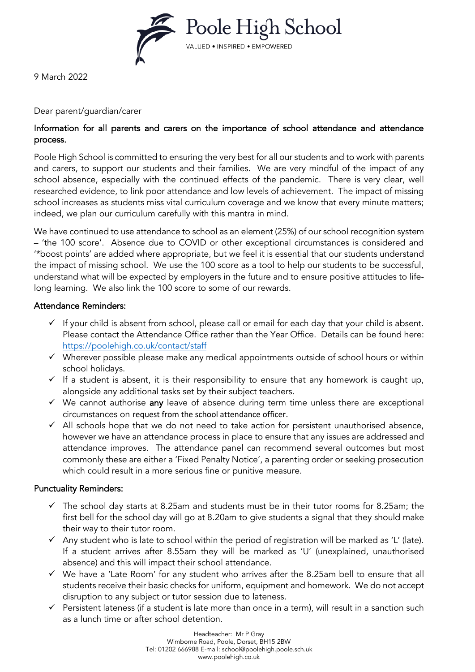

9 March 2022

### Dear parent/guardian/carer

# Information for all parents and carers on the importance of school attendance and attendance process.

Poole High School is committed to ensuring the very best for all our students and to work with parents and carers, to support our students and their families. We are very mindful of the impact of any school absence, especially with the continued effects of the pandemic. There is very clear, well researched evidence, to link poor attendance and low levels of achievement. The impact of missing school increases as students miss vital curriculum coverage and we know that every minute matters; indeed, we plan our curriculum carefully with this mantra in mind.

We have continued to use attendance to school as an element (25%) of our school recognition system – 'the 100 score'. Absence due to COVID or other exceptional circumstances is considered and '\*boost points' are added where appropriate, but we feel it is essential that our students understand the impact of missing school. We use the 100 score as a tool to help our students to be successful, understand what will be expected by employers in the future and to ensure positive attitudes to lifelong learning. We also link the 100 score to some of our rewards.

## Attendance Reminders:

- $\checkmark$  If your child is absent from school, please call or email for each day that your child is absent. Please contact the Attendance Office rather than the Year Office. Details can be found here: <https://poolehigh.co.uk/contact/staff>
- ✓ Wherever possible please make any medical appointments outside of school hours or within school holidays.
- $\checkmark$  If a student is absent, it is their responsibility to ensure that any homework is caught up, alongside any additional tasks set by their subject teachers.
- $\checkmark$  We cannot authorise any leave of absence during term time unless there are exceptional circumstances on request from the school attendance officer.
- $\checkmark$  All schools hope that we do not need to take action for persistent unauthorised absence, however we have an attendance process in place to ensure that any issues are addressed and attendance improves. The attendance panel can recommend several outcomes but most commonly these are either a 'Fixed Penalty Notice', a parenting order or seeking prosecution which could result in a more serious fine or punitive measure.

## Punctuality Reminders:

- $\checkmark$  The school day starts at 8.25am and students must be in their tutor rooms for 8.25am; the first bell for the school day will go at 8.20am to give students a signal that they should make their way to their tutor room.
- $\checkmark$  Any student who is late to school within the period of registration will be marked as 'L' (late). If a student arrives after 8.55am they will be marked as 'U' (unexplained, unauthorised absence) and this will impact their school attendance.
- ✓ We have a 'Late Room' for any student who arrives after the 8.25am bell to ensure that all students receive their basic checks for uniform, equipment and homework. We do not accept disruption to any subject or tutor session due to lateness.
- $\checkmark$  Persistent lateness (if a student is late more than once in a term), will result in a sanction such as a lunch time or after school detention.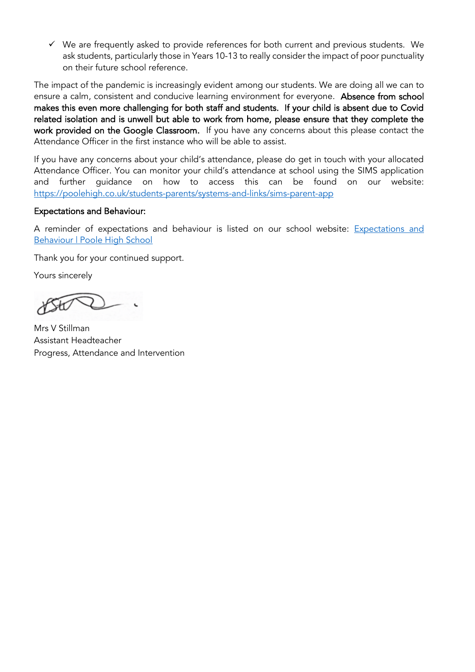✓ We are frequently asked to provide references for both current and previous students. We ask students, particularly those in Years 10-13 to really consider the impact of poor punctuality on their future school reference.

The impact of the pandemic is increasingly evident among our students. We are doing all we can to ensure a calm, consistent and conducive learning environment for everyone. Absence from school makes this even more challenging for both staff and students. If your child is absent due to Covid related isolation and is unwell but able to work from home, please ensure that they complete the work provided on the Google Classroom. If you have any concerns about this please contact the Attendance Officer in the first instance who will be able to assist.

If you have any concerns about your child's attendance, please do get in touch with your allocated Attendance Officer. You can monitor your child's attendance at school using the SIMS application and further guidance on how to access this can be found on our website: <https://poolehigh.co.uk/students-parents/systems-and-links/sims-parent-app>

### Expectations and Behaviour:

A reminder of expectations and behaviour is listed on our school website: [Expectations and](https://poolehigh.co.uk/students-parents/general/expectations-and-behaviour)  [Behaviour | Poole High School](https://poolehigh.co.uk/students-parents/general/expectations-and-behaviour)

Thank you for your continued support.

Yours sincerely

Mrs V Stillman Assistant Headteacher Progress, Attendance and Intervention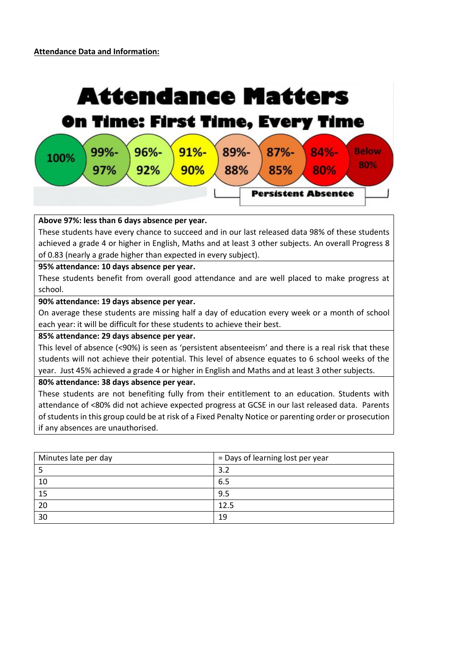

#### **Above 97%: less than 6 days absence per year.**

These students have every chance to succeed and in our last released data 98% of these students achieved a grade 4 or higher in English, Maths and at least 3 other subjects. An overall Progress 8 of 0.83 (nearly a grade higher than expected in every subject).

#### **95% attendance: 10 days absence per year.**

These students benefit from overall good attendance and are well placed to make progress at school.

#### **90% attendance: 19 days absence per year.**

On average these students are missing half a day of education every week or a month of school each year: it will be difficult for these students to achieve their best.

#### **85% attendance: 29 days absence per year.**

This level of absence (<90%) is seen as 'persistent absenteeism' and there is a real risk that these students will not achieve their potential. This level of absence equates to 6 school weeks of the year. Just 45% achieved a grade 4 or higher in English and Maths and at least 3 other subjects.

#### **80% attendance: 38 days absence per year.**

These students are not benefiting fully from their entitlement to an education. Students with attendance of <80% did not achieve expected progress at GCSE in our last released data. Parents of students in this group could be at risk of a Fixed Penalty Notice or parenting order or prosecution if any absences are unauthorised.

| Minutes late per day | = Days of learning lost per year |
|----------------------|----------------------------------|
|                      | 3.2                              |
| 10                   | 6.5                              |
| 15                   | 9.5                              |
| 20                   | 12.5                             |
| 30                   | 19                               |